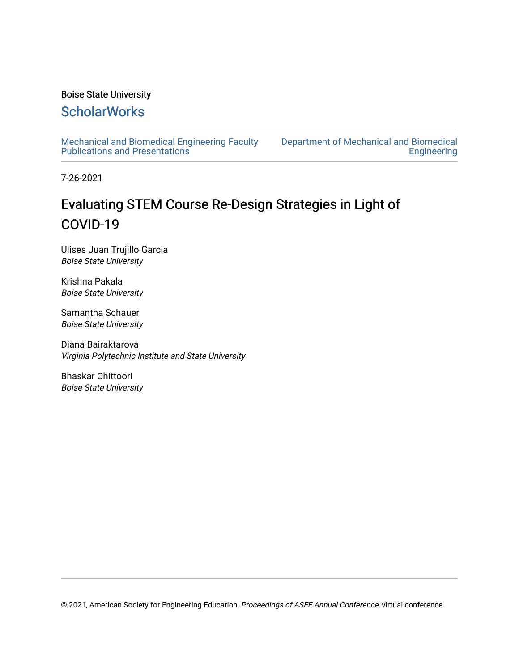#### Boise State University

# **ScholarWorks**

[Mechanical and Biomedical Engineering Faculty](https://scholarworks.boisestate.edu/mecheng_facpubs)  [Publications and Presentations](https://scholarworks.boisestate.edu/mecheng_facpubs) 

[Department of Mechanical and Biomedical](https://scholarworks.boisestate.edu/mecheng)  **Engineering** 

7-26-2021

# Evaluating STEM Course Re-Design Strategies in Light of COVID-19

Ulises Juan Trujillo Garcia Boise State University

Krishna Pakala Boise State University

Samantha Schauer Boise State University

Diana Bairaktarova Virginia Polytechnic Institute and State University

Bhaskar Chittoori Boise State University

© 2021, American Society for Engineering Education, Proceedings of ASEE Annual Conference, virtual conference.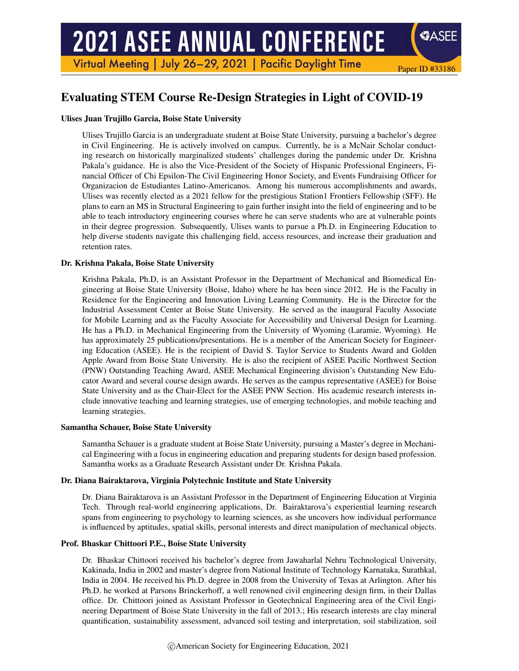# **2021 ASEE ANNUAL CONFERENCE**

Virtual Meeting | July 26-29, 2021 | Pacific Daylight Time

# Evaluating STEM Course Re-Design Strategies in Light of COVID-19

Paper ID #33186

**SASEE** 

#### Ulises Juan Trujillo Garcia, Boise State University

Ulises Trujillo Garcia is an undergraduate student at Boise State University, pursuing a bachelor's degree in Civil Engineering. He is actively involved on campus. Currently, he is a McNair Scholar conducting research on historically marginalized students' challenges during the pandemic under Dr. Krishna Pakala's guidance. He is also the Vice-President of the Society of Hispanic Professional Engineers, Financial Officer of Chi Epsilon-The Civil Engineering Honor Society, and Events Fundraising Officer for Organizacion de Estudiantes Latino-Americanos. Among his numerous accomplishments and awards, Ulises was recently elected as a 2021 fellow for the prestigious Station1 Frontiers Fellowship (SFF). He plans to earn an MS in Structural Engineering to gain further insight into the field of engineering and to be able to teach introductory engineering courses where he can serve students who are at vulnerable points in their degree progression. Subsequently, Ulises wants to pursue a Ph.D. in Engineering Education to help diverse students navigate this challenging field, access resources, and increase their graduation and retention rates.

#### Dr. Krishna Pakala, Boise State University

Krishna Pakala, Ph.D, is an Assistant Professor in the Department of Mechanical and Biomedical Engineering at Boise State University (Boise, Idaho) where he has been since 2012. He is the Faculty in Residence for the Engineering and Innovation Living Learning Community. He is the Director for the Industrial Assessment Center at Boise State University. He served as the inaugural Faculty Associate for Mobile Learning and as the Faculty Associate for Accessibility and Universal Design for Learning. He has a Ph.D. in Mechanical Engineering from the University of Wyoming (Laramie, Wyoming). He has approximately 25 publications/presentations. He is a member of the American Society for Engineering Education (ASEE). He is the recipient of David S. Taylor Service to Students Award and Golden Apple Award from Boise State University. He is also the recipient of ASEE Pacific Northwest Section (PNW) Outstanding Teaching Award, ASEE Mechanical Engineering division's Outstanding New Educator Award and several course design awards. He serves as the campus representative (ASEE) for Boise State University and as the Chair-Elect for the ASEE PNW Section. His academic research interests include innovative teaching and learning strategies, use of emerging technologies, and mobile teaching and learning strategies.

#### Samantha Schauer, Boise State University

Samantha Schauer is a graduate student at Boise State University, pursuing a Master's degree in Mechanical Engineering with a focus in engineering education and preparing students for design based profession. Samantha works as a Graduate Research Assistant under Dr. Krishna Pakala.

#### Dr. Diana Bairaktarova, Virginia Polytechnic Institute and State University

Dr. Diana Bairaktarova is an Assistant Professor in the Department of Engineering Education at Virginia Tech. Through real-world engineering applications, Dr. Bairaktarova's experiential learning research spans from engineering to psychology to learning sciences, as she uncovers how individual performance is influenced by aptitudes, spatial skills, personal interests and direct manipulation of mechanical objects.

#### Prof. Bhaskar Chittoori P.E., Boise State University

Dr. Bhaskar Chittoori received his bachelor's degree from Jawaharlal Nehru Technological University, Kakinada, India in 2002 and master's degree from National Institute of Technology Karnataka, Surathkal, India in 2004. He received his Ph.D. degree in 2008 from the University of Texas at Arlington. After his Ph.D. he worked at Parsons Brinckerhoff, a well renowned civil engineering design firm, in their Dallas office. Dr. Chittoori joined as Assistant Professor in Geotechnical Engineering area of the Civil Engineering Department of Boise State University in the fall of 2013.; His research interests are clay mineral quantification, sustainability assessment, advanced soil testing and interpretation, soil stabilization, soil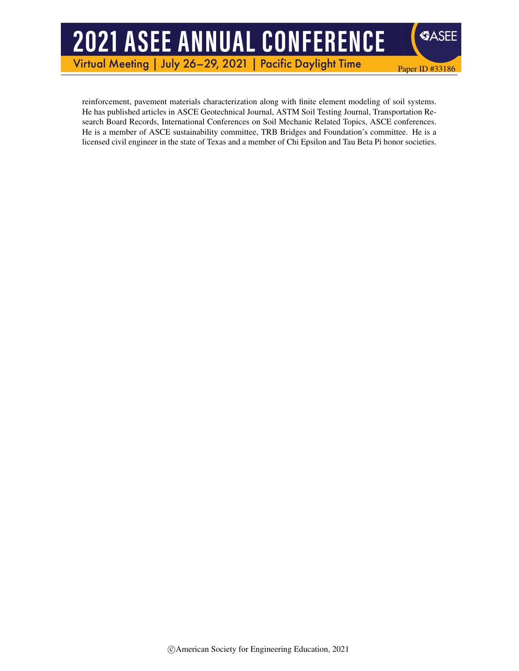# **2021 ASEE ANNUAL CONFERENCE**

Virtual Meeting | July 26-29, 2021 | **Pacific Daylight Time** 

reinforcement, pavement materials characterization along with finite element modeling of soil systems. He has published articles in ASCE Geotechnical Journal, ASTM Soil Testing Journal, Transportation Research Board Records, International Conferences on Soil Mechanic Related Topics, ASCE conferences. He is a member of ASCE sustainability committee, TRB Bridges and Foundation's committee. He is a licensed civil engineer in the state of Texas and a member of Chi Epsilon and Tau Beta Pi honor societies.

Paper ID #33186

**SASEE**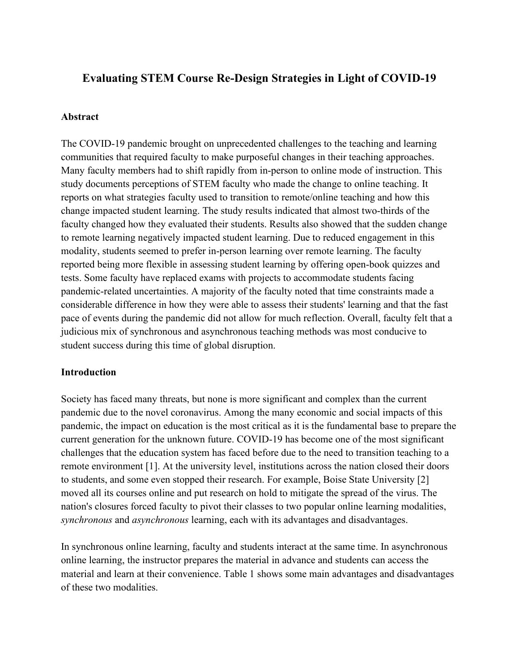# **Evaluating STEM Course Re-Design Strategies in Light of COVID-19**

#### **Abstract**

The COVID-19 pandemic brought on unprecedented challenges to the teaching and learning communities that required faculty to make purposeful changes in their teaching approaches. Many faculty members had to shift rapidly from in-person to online mode of instruction. This study documents perceptions of STEM faculty who made the change to online teaching. It reports on what strategies faculty used to transition to remote/online teaching and how this change impacted student learning. The study results indicated that almost two-thirds of the faculty changed how they evaluated their students. Results also showed that the sudden change to remote learning negatively impacted student learning. Due to reduced engagement in this modality, students seemed to prefer in-person learning over remote learning. The faculty reported being more flexible in assessing student learning by offering open-book quizzes and tests. Some faculty have replaced exams with projects to accommodate students facing pandemic-related uncertainties. A majority of the faculty noted that time constraints made a considerable difference in how they were able to assess their students' learning and that the fast pace of events during the pandemic did not allow for much reflection. Overall, faculty felt that a judicious mix of synchronous and asynchronous teaching methods was most conducive to student success during this time of global disruption.

#### **Introduction**

Society has faced many threats, but none is more significant and complex than the current pandemic due to the novel coronavirus. Among the many economic and social impacts of this pandemic, the impact on education is the most critical as it is the fundamental base to prepare the current generation for the unknown future. COVID-19 has become one of the most significant challenges that the education system has faced before due to the need to transition teaching to a remote environment [1]. At the university level, institutions across the nation closed their doors to students, and some even stopped their research. For example, Boise State University [2] moved all its courses online and put research on hold to mitigate the spread of the virus. The nation's closures forced faculty to pivot their classes to two popular online learning modalities, *synchronous* and *asynchronous* learning, each with its advantages and disadvantages.

In synchronous online learning, faculty and students interact at the same time. In asynchronous online learning, the instructor prepares the material in advance and students can access the material and learn at their convenience. Table 1 shows some main advantages and disadvantages of these two modalities.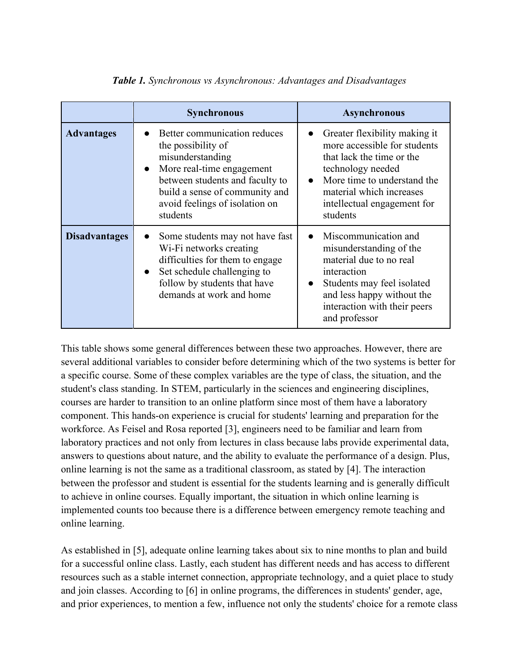|                      | <b>Synchronous</b>                                                                                                                                                                                                                  | <b>Asynchronous</b>                                                                                                                                                                                                                |
|----------------------|-------------------------------------------------------------------------------------------------------------------------------------------------------------------------------------------------------------------------------------|------------------------------------------------------------------------------------------------------------------------------------------------------------------------------------------------------------------------------------|
| <b>Advantages</b>    | Better communication reduces<br>the possibility of<br>misunderstanding<br>More real-time engagement<br>$\bullet$<br>between students and faculty to<br>build a sense of community and<br>avoid feelings of isolation on<br>students | Greater flexibility making it<br>more accessible for students<br>that lack the time or the<br>technology needed<br>More time to understand the<br>$\bullet$<br>material which increases<br>intellectual engagement for<br>students |
| <b>Disadvantages</b> | Some students may not have fast<br>$\bullet$<br>Wi-Fi networks creating<br>difficulties for them to engage<br>Set schedule challenging to<br>$\bullet$<br>follow by students that have<br>demands at work and home                  | Miscommunication and<br>misunderstanding of the<br>material due to no real<br>interaction<br>Students may feel isolated<br>and less happy without the<br>interaction with their peers<br>and professor                             |

#### *Table 1. Synchronous vs Asynchronous: Advantages and Disadvantages*

This table shows some general differences between these two approaches. However, there are several additional variables to consider before determining which of the two systems is better for a specific course. Some of these complex variables are the type of class, the situation, and the student's class standing. In STEM, particularly in the sciences and engineering disciplines, courses are harder to transition to an online platform since most of them have a laboratory component. This hands-on experience is crucial for students' learning and preparation for the workforce. As Feisel and Rosa reported [3], engineers need to be familiar and learn from laboratory practices and not only from lectures in class because labs provide experimental data, answers to questions about nature, and the ability to evaluate the performance of a design. Plus, online learning is not the same as a traditional classroom, as stated by [4]. The interaction between the professor and student is essential for the students learning and is generally difficult to achieve in online courses. Equally important, the situation in which online learning is implemented counts too because there is a difference between emergency remote teaching and online learning.

As established in [5], adequate online learning takes about six to nine months to plan and build for a successful online class. Lastly, each student has different needs and has access to different resources such as a stable internet connection, appropriate technology, and a quiet place to study and join classes. According to [6] in online programs, the differences in students' gender, age, and prior experiences, to mention a few, influence not only the students' choice for a remote class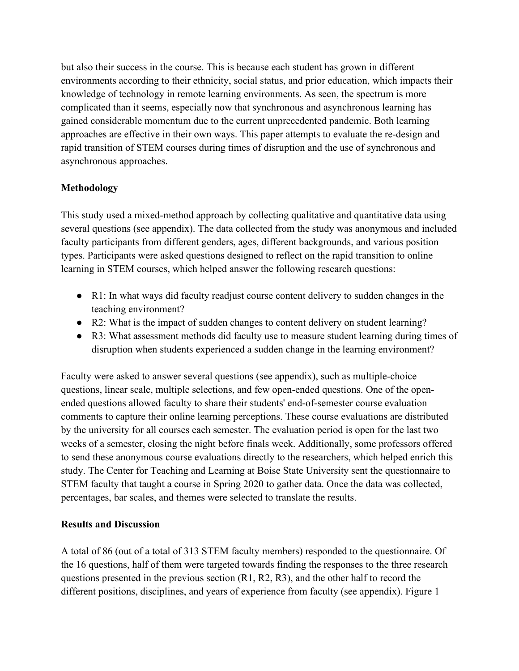but also their success in the course. This is because each student has grown in different environments according to their ethnicity, social status, and prior education, which impacts their knowledge of technology in remote learning environments. As seen, the spectrum is more complicated than it seems, especially now that synchronous and asynchronous learning has gained considerable momentum due to the current unprecedented pandemic. Both learning approaches are effective in their own ways. This paper attempts to evaluate the re-design and rapid transition of STEM courses during times of disruption and the use of synchronous and asynchronous approaches.

## **Methodology**

This study used a mixed-method approach by collecting qualitative and quantitative data using several questions (see appendix). The data collected from the study was anonymous and included faculty participants from different genders, ages, different backgrounds, and various position types. Participants were asked questions designed to reflect on the rapid transition to online learning in STEM courses, which helped answer the following research questions:

- R1: In what ways did faculty readjust course content delivery to sudden changes in the teaching environment?
- R2: What is the impact of sudden changes to content delivery on student learning?
- R3: What assessment methods did faculty use to measure student learning during times of disruption when students experienced a sudden change in the learning environment?

Faculty were asked to answer several questions (see appendix), such as multiple-choice questions, linear scale, multiple selections, and few open-ended questions. One of the openended questions allowed faculty to share their students' end-of-semester course evaluation comments to capture their online learning perceptions. These course evaluations are distributed by the university for all courses each semester. The evaluation period is open for the last two weeks of a semester, closing the night before finals week. Additionally, some professors offered to send these anonymous course evaluations directly to the researchers, which helped enrich this study. The Center for Teaching and Learning at Boise State University sent the questionnaire to STEM faculty that taught a course in Spring 2020 to gather data. Once the data was collected, percentages, bar scales, and themes were selected to translate the results.

### **Results and Discussion**

A total of 86 (out of a total of 313 STEM faculty members) responded to the questionnaire. Of the 16 questions, half of them were targeted towards finding the responses to the three research questions presented in the previous section (R1, R2, R3), and the other half to record the different positions, disciplines, and years of experience from faculty (see appendix). Figure 1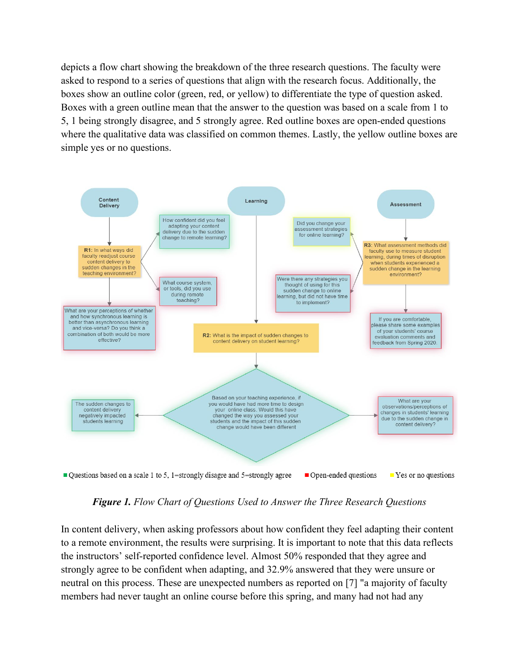depicts a flow chart showing the breakdown of the three research questions. The faculty were asked to respond to a series of questions that align with the research focus. Additionally, the boxes show an outline color (green, red, or yellow) to differentiate the type of question asked. Boxes with a green outline mean that the answer to the question was based on a scale from 1 to 5, 1 being strongly disagree, and 5 strongly agree. Red outline boxes are open-ended questions where the qualitative data was classified on common themes. Lastly, the yellow outline boxes are simple yes or no questions.



*Figure 1. Flow Chart of Questions Used to Answer the Three Research Questions*

In content delivery, when asking professors about how confident they feel adapting their content to a remote environment, the results were surprising. It is important to note that this data reflects the instructors' self-reported confidence level. Almost 50% responded that they agree and strongly agree to be confident when adapting, and 32.9% answered that they were unsure or neutral on this process. These are unexpected numbers as reported on [7] "a majority of faculty members had never taught an online course before this spring, and many had not had any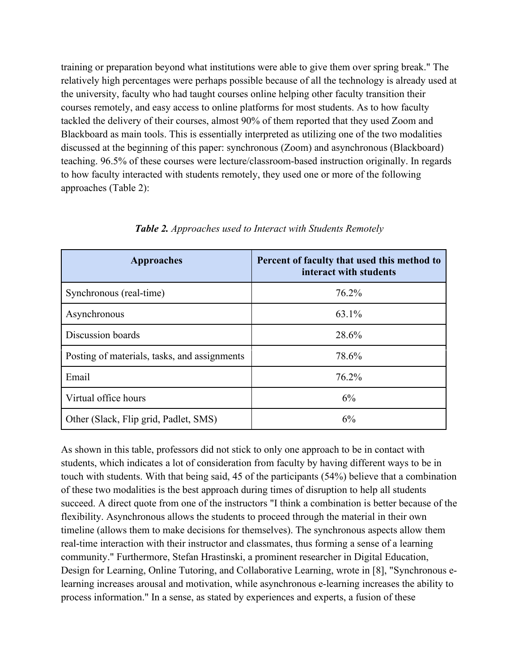training or preparation beyond what institutions were able to give them over spring break." The relatively high percentages were perhaps possible because of all the technology is already used at the university, faculty who had taught courses online helping other faculty transition their courses remotely, and easy access to online platforms for most students. As to how faculty tackled the delivery of their courses, almost 90% of them reported that they used Zoom and Blackboard as main tools. This is essentially interpreted as utilizing one of the two modalities discussed at the beginning of this paper: synchronous (Zoom) and asynchronous (Blackboard) teaching. 96.5% of these courses were lecture/classroom-based instruction originally. In regards to how faculty interacted with students remotely, they used one or more of the following approaches (Table 2):

| Approaches                                   | Percent of faculty that used this method to<br>interact with students |
|----------------------------------------------|-----------------------------------------------------------------------|
| Synchronous (real-time)                      | 76.2%                                                                 |
| Asynchronous                                 | 63.1%                                                                 |
| Discussion boards                            | 28.6%                                                                 |
| Posting of materials, tasks, and assignments | 78.6%                                                                 |
| Email                                        | 76.2%                                                                 |
| Virtual office hours                         | 6%                                                                    |
| Other (Slack, Flip grid, Padlet, SMS)        | 6%                                                                    |

*Table 2. Approaches used to Interact with Students Remotely*

As shown in this table, professors did not stick to only one approach to be in contact with students, which indicates a lot of consideration from faculty by having different ways to be in touch with students. With that being said, 45 of the participants (54%) believe that a combination of these two modalities is the best approach during times of disruption to help all students succeed. A direct quote from one of the instructors "I think a combination is better because of the flexibility. Asynchronous allows the students to proceed through the material in their own timeline (allows them to make decisions for themselves). The synchronous aspects allow them real-time interaction with their instructor and classmates, thus forming a sense of a learning community." Furthermore, Stefan Hrastinski, a prominent researcher in Digital Education, Design for Learning, Online Tutoring, and Collaborative Learning, wrote in [8], "Synchronous elearning increases arousal and motivation, while asynchronous e-learning increases the ability to process information." In a sense, as stated by experiences and experts, a fusion of these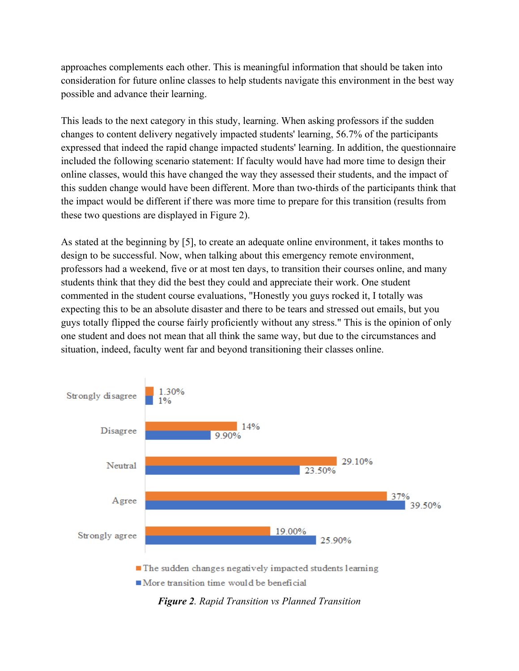approaches complements each other. This is meaningful information that should be taken into consideration for future online classes to help students navigate this environment in the best way possible and advance their learning.

This leads to the next category in this study, learning. When asking professors if the sudden changes to content delivery negatively impacted students' learning, 56.7% of the participants expressed that indeed the rapid change impacted students' learning. In addition, the questionnaire included the following scenario statement: If faculty would have had more time to design their online classes, would this have changed the way they assessed their students, and the impact of this sudden change would have been different. More than two-thirds of the participants think that the impact would be different if there was more time to prepare for this transition (results from these two questions are displayed in Figure 2).

As stated at the beginning by [5], to create an adequate online environment, it takes months to design to be successful. Now, when talking about this emergency remote environment, professors had a weekend, five or at most ten days, to transition their courses online, and many students think that they did the best they could and appreciate their work. One student commented in the student course evaluations, "Honestly you guys rocked it, I totally was expecting this to be an absolute disaster and there to be tears and stressed out emails, but you guys totally flipped the course fairly proficiently without any stress." This is the opinion of only one student and does not mean that all think the same way, but due to the circumstances and situation, indeed, faculty went far and beyond transitioning their classes online.



*Figure 2. Rapid Transition vs Planned Transition*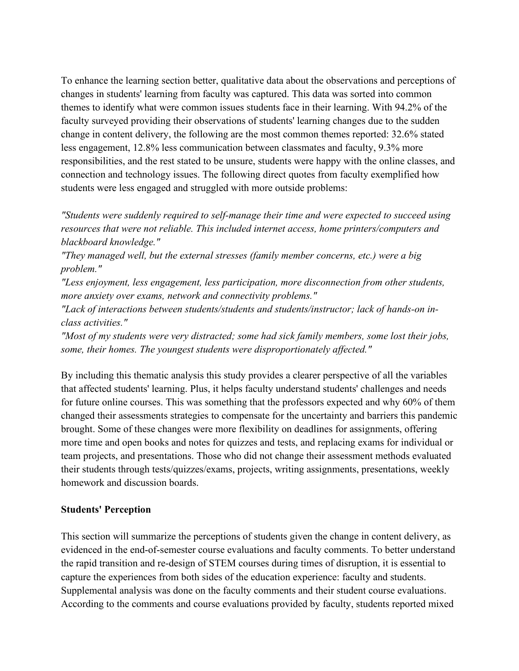To enhance the learning section better, qualitative data about the observations and perceptions of changes in students' learning from faculty was captured. This data was sorted into common themes to identify what were common issues students face in their learning. With 94.2% of the faculty surveyed providing their observations of students' learning changes due to the sudden change in content delivery, the following are the most common themes reported: 32.6% stated less engagement, 12.8% less communication between classmates and faculty, 9.3% more responsibilities, and the rest stated to be unsure, students were happy with the online classes, and connection and technology issues. The following direct quotes from faculty exemplified how students were less engaged and struggled with more outside problems:

*"Students were suddenly required to self-manage their time and were expected to succeed using resources that were not reliable. This included internet access, home printers/computers and blackboard knowledge."*

*"They managed well, but the external stresses (family member concerns, etc.) were a big problem."*

*"Less enjoyment, less engagement, less participation, more disconnection from other students, more anxiety over exams, network and connectivity problems."*

*"Lack of interactions between students/students and students/instructor; lack of hands-on inclass activities."*

*"Most of my students were very distracted; some had sick family members, some lost their jobs, some, their homes. The youngest students were disproportionately affected."*

By including this thematic analysis this study provides a clearer perspective of all the variables that affected students' learning. Plus, it helps faculty understand students' challenges and needs for future online courses. This was something that the professors expected and why 60% of them changed their assessments strategies to compensate for the uncertainty and barriers this pandemic brought. Some of these changes were more flexibility on deadlines for assignments, offering more time and open books and notes for quizzes and tests, and replacing exams for individual or team projects, and presentations. Those who did not change their assessment methods evaluated their students through tests/quizzes/exams, projects, writing assignments, presentations, weekly homework and discussion boards.

#### **Students' Perception**

This section will summarize the perceptions of students given the change in content delivery, as evidenced in the end-of-semester course evaluations and faculty comments. To better understand the rapid transition and re-design of STEM courses during times of disruption, it is essential to capture the experiences from both sides of the education experience: faculty and students. Supplemental analysis was done on the faculty comments and their student course evaluations. According to the comments and course evaluations provided by faculty, students reported mixed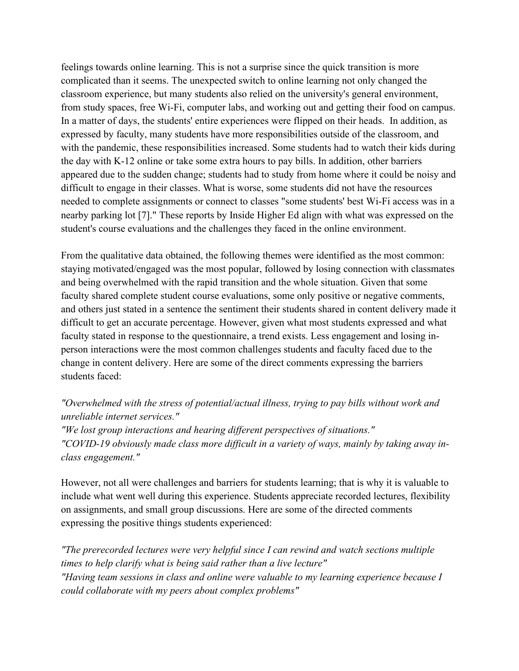feelings towards online learning. This is not a surprise since the quick transition is more complicated than it seems. The unexpected switch to online learning not only changed the classroom experience, but many students also relied on the university's general environment, from study spaces, free Wi-Fi, computer labs, and working out and getting their food on campus. In a matter of days, the students' entire experiences were flipped on their heads. In addition, as expressed by faculty, many students have more responsibilities outside of the classroom, and with the pandemic, these responsibilities increased. Some students had to watch their kids during the day with K-12 online or take some extra hours to pay bills. In addition, other barriers appeared due to the sudden change; students had to study from home where it could be noisy and difficult to engage in their classes. What is worse, some students did not have the resources needed to complete assignments or connect to classes "some students' best Wi-Fi access was in a nearby parking lot [7]." These reports by Inside Higher Ed align with what was expressed on the student's course evaluations and the challenges they faced in the online environment.

From the qualitative data obtained, the following themes were identified as the most common: staying motivated/engaged was the most popular, followed by losing connection with classmates and being overwhelmed with the rapid transition and the whole situation. Given that some faculty shared complete student course evaluations, some only positive or negative comments, and others just stated in a sentence the sentiment their students shared in content delivery made it difficult to get an accurate percentage. However, given what most students expressed and what faculty stated in response to the questionnaire, a trend exists. Less engagement and losing inperson interactions were the most common challenges students and faculty faced due to the change in content delivery. Here are some of the direct comments expressing the barriers students faced:

## *"Overwhelmed with the stress of potential/actual illness, trying to pay bills without work and unreliable internet services."*

*"We lost group interactions and hearing different perspectives of situations." "COVID-19 obviously made class more difficult in a variety of ways, mainly by taking away inclass engagement."*

However, not all were challenges and barriers for students learning; that is why it is valuable to include what went well during this experience. Students appreciate recorded lectures, flexibility on assignments, and small group discussions. Here are some of the directed comments expressing the positive things students experienced:

*"The prerecorded lectures were very helpful since I can rewind and watch sections multiple times to help clarify what is being said rather than a live lecture" "Having team sessions in class and online were valuable to my learning experience because I could collaborate with my peers about complex problems"*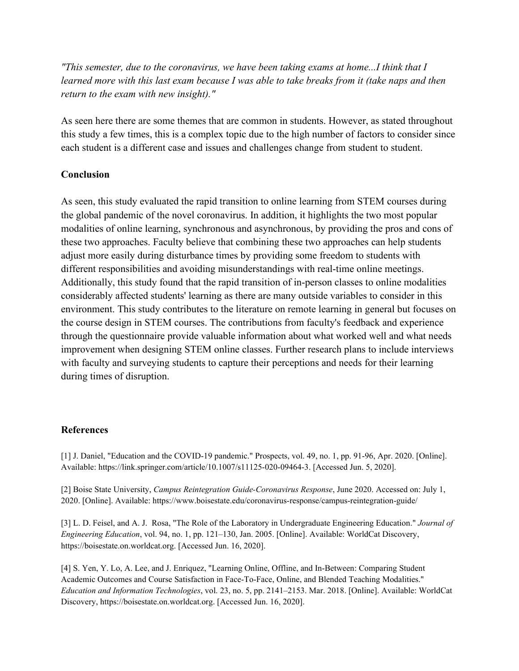*"This semester, due to the coronavirus, we have been taking exams at home...I think that I learned more with this last exam because I was able to take breaks from it (take naps and then return to the exam with new insight)."*

As seen here there are some themes that are common in students. However, as stated throughout this study a few times, this is a complex topic due to the high number of factors to consider since each student is a different case and issues and challenges change from student to student.

#### **Conclusion**

As seen, this study evaluated the rapid transition to online learning from STEM courses during the global pandemic of the novel coronavirus. In addition, it highlights the two most popular modalities of online learning, synchronous and asynchronous, by providing the pros and cons of these two approaches. Faculty believe that combining these two approaches can help students adjust more easily during disturbance times by providing some freedom to students with different responsibilities and avoiding misunderstandings with real-time online meetings. Additionally, this study found that the rapid transition of in-person classes to online modalities considerably affected students' learning as there are many outside variables to consider in this environment. This study contributes to the literature on remote learning in general but focuses on the course design in STEM courses. The contributions from faculty's feedback and experience through the questionnaire provide valuable information about what worked well and what needs improvement when designing STEM online classes. Further research plans to include interviews with faculty and surveying students to capture their perceptions and needs for their learning during times of disruption.

#### **References**

[1] J. Daniel, "Education and the COVID-19 pandemic." Prospects, vol. 49, no. 1, pp. 91-96, Apr. 2020. [Online]. Available: [https://link.springer.com/article/10.1007/s11125-020-09464-3.](https://link.springer.com/article/10.1007/s11125-020-09464-3) [Accessed Jun. 5, 2020].

[2] Boise State University, *Campus Reintegration Guide-Coronavirus Response*, June 2020. Accessed on: July 1, 2020. [Online]. Available: https://www.boisestate.edu/coronavirus-response/campus-reintegration-guide/

[3] L. D. Feisel, and A. J. Rosa, "The Role of the Laboratory in Undergraduate Engineering Education." *Journal of Engineering Education*, vol. 94, no. 1, pp. 121–130, Jan. 2005. [Online]. Available: WorldCat Discovery, https://boisestate.on.worldcat.org. [Accessed Jun. 16, 2020].

[4] S. Yen, Y. Lo, A. Lee, and J. Enriquez, "Learning Online, Offline, and In-Between: Comparing Student Academic Outcomes and Course Satisfaction in Face-To-Face, Online, and Blended Teaching Modalities." *Education and Information Technologies*, vol. 23, no. 5, pp. 2141–2153. Mar. 2018. [Online]. Available: WorldCat Discovery, [https://boisestate.on.worldcat.org.](https://boisestate.on.worldcat.org/) [Accessed Jun. 16, 2020].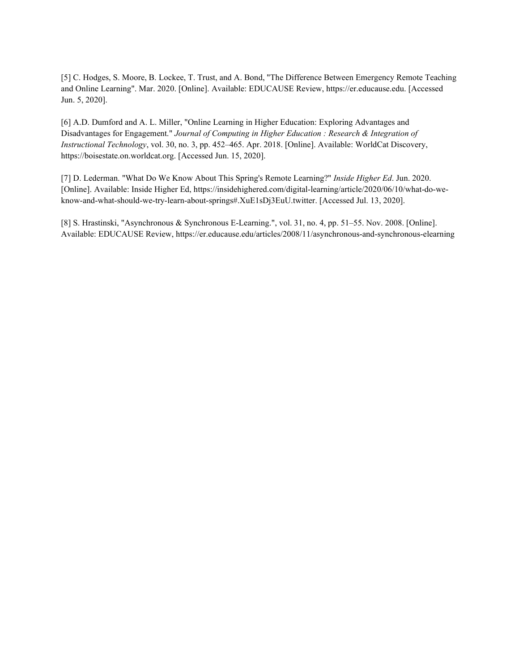[5] C. Hodges, S. Moore, B. Lockee, T. Trust, and A. Bond, "The Difference Between Emergency Remote Teaching and Online Learning". Mar. 2020. [Online]. Available: EDUCAUSE Review, https://er.educause.edu. [Accessed Jun. 5, 2020].

[6] A.D. Dumford and A. L. Miller, "Online Learning in Higher Education: Exploring Advantages and Disadvantages for Engagement." *Journal of Computing in Higher Education : Research & Integration of Instructional Technology*, vol. 30, no. 3, pp. 452–465. Apr. 2018. [Online]. Available: WorldCat Discovery, https://boisestate.on.worldcat.org. [Accessed Jun. 15, 2020].

[7] D. Lederman. "What Do We Know About This Spring's Remote Learning?" *Inside Higher Ed*. Jun. 2020. [Online]. Available: Inside Higher Ed, https://insidehighered.com/digital-learning/article/2020/06/10/what-do-weknow-and-what-should-we-try-learn-about-springs#.XuE1sDj3EuU.twitter. [Accessed Jul. 13, 2020].

[8] S. Hrastinski, "Asynchronous & Synchronous E-Learning.", vol. 31, no. 4, pp. 51–55. Nov. 2008. [Online]. Available: EDUCAUSE Review, https://er.educause.edu/articles/2008/11/asynchronous-and-synchronous-elearning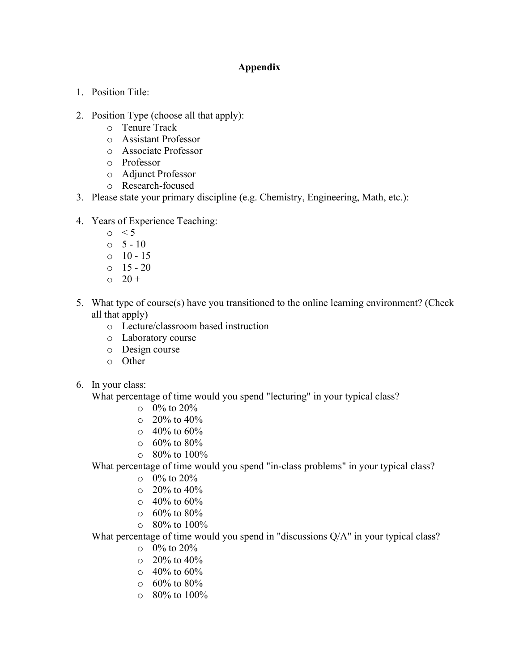### **Appendix**

- 1. Position Title:
- 2. Position Type (choose all that apply):
	- o Tenure Track
	- o Assistant Professor
	- o Associate Professor
	- o Professor
	- o Adjunct Professor
	- o Research-focused
- 3. Please state your primary discipline (e.g. Chemistry, Engineering, Math, etc.):
- 4. Years of Experience Teaching:
	- $\circ$  < 5
	- $0 \quad 5 10$
	- o 10 15
	- o 15 20
	- $\circ$  20 +
- 5. What type of course(s) have you transitioned to the online learning environment? (Check all that apply)
	- o Lecture/classroom based instruction
	- o Laboratory course
	- o Design course
	- o Other
- 6. In your class:

What percentage of time would you spend "lecturing" in your typical class?

- $\circ$  0% to 20%
- $\circ$  20% to 40%
- $\circ$  40% to 60%
- $\circ$  60% to 80%
- $\circ$  80% to 100%

What percentage of time would you spend "in-class problems" in your typical class?

- $\circ$  0% to 20%
- $\circ$  20% to 40%
- $\circ$  40% to 60%
- $\circ$  60% to 80%
- $\circ$  80% to 100%

What percentage of time would you spend in "discussions Q/A" in your typical class?

- $\circ$  0% to 20%
- $\circ$  20% to 40%
- $\circ$  40% to 60%
- o 60% to 80%
- o 80% to 100%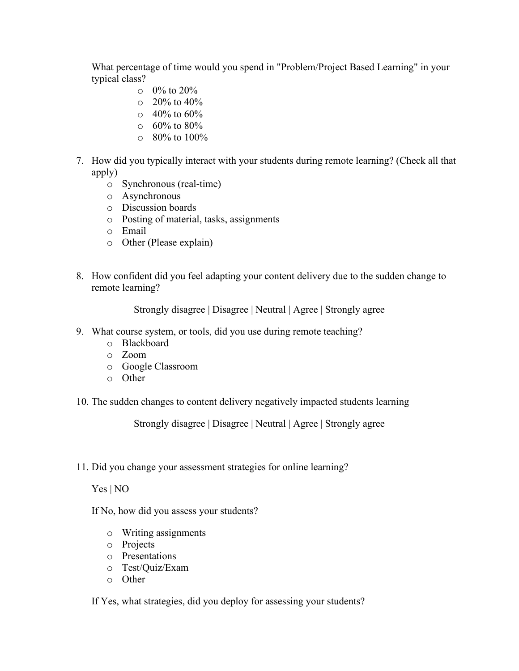What percentage of time would you spend in "Problem/Project Based Learning" in your typical class?

- $\circ$  0% to 20%
- $\circ$  20% to 40%
- $\circ$  40% to 60%
- $\circ$  60% to 80%
- $\circ$  80% to 100%
- 7. How did you typically interact with your students during remote learning? (Check all that apply)
	- o Synchronous (real-time)
	- o Asynchronous
	- o Discussion boards
	- o Posting of material, tasks, assignments
	- o Email
	- o Other (Please explain)
- 8. How confident did you feel adapting your content delivery due to the sudden change to remote learning?

Strongly disagree | Disagree | Neutral | Agree | Strongly agree

- 9. What course system, or tools, did you use during remote teaching?
	- o Blackboard
	- o Zoom
	- o Google Classroom
	- o Other
- 10. The sudden changes to content delivery negatively impacted students learning

Strongly disagree | Disagree | Neutral | Agree | Strongly agree

11. Did you change your assessment strategies for online learning?

Yes | NO

If No, how did you assess your students?

- o Writing assignments
- o Projects
- o Presentations
- o Test/Quiz/Exam
- o Other

If Yes, what strategies, did you deploy for assessing your students?